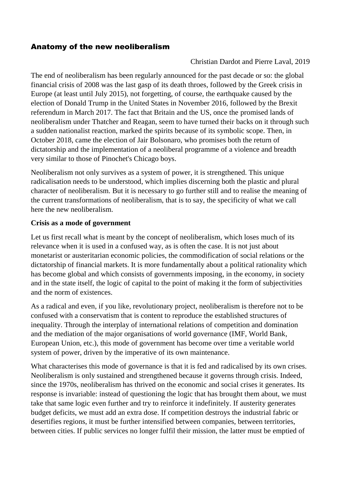## Anatomy of the new neoliberalism

### Christian Dardot and Pierre Laval, 2019

The end of neoliberalism has been regularly announced for the past decade or so: the global financial crisis of 2008 was the last gasp of its death throes, followed by the Greek crisis in Europe (at least until July 2015), not forgetting, of course, the earthquake caused by the election of Donald Trump in the United States in November 2016, followed by the Brexit referendum in March 2017. The fact that Britain and the US, once the promised lands of neoliberalism under Thatcher and Reagan, seem to have turned their backs on it through such a sudden nationalist reaction, marked the spirits because of its symbolic scope. Then, in October 2018, came the election of Jair Bolsonaro, who promises both the return of dictatorship and the implementation of a neoliberal programme of a violence and breadth very similar to those of Pinochet's Chicago boys.

Neoliberalism not only survives as a system of power, it is strengthened. This unique radicalisation needs to be understood, which implies discerning both the plastic and plural character of neoliberalism. But it is necessary to go further still and to realise the meaning of the current transformations of neoliberalism, that is to say, the specificity of what we call here the new neoliberalism.

#### **Crisis as a mode of government**

Let us first recall what is meant by the concept of neoliberalism, which loses much of its relevance when it is used in a confused way, as is often the case. It is not just about monetarist or austeritarian economic policies, the commodification of social relations or the dictatorship of financial markets. It is more fundamentally about a political rationality which has become global and which consists of governments imposing, in the economy, in society and in the state itself, the logic of capital to the point of making it the form of subjectivities and the norm of existences.

As a radical and even, if you like, revolutionary project, neoliberalism is therefore not to be confused with a conservatism that is content to reproduce the established structures of inequality. Through the interplay of international relations of competition and domination and the mediation of the major organisations of world governance (IMF, World Bank, European Union, etc.), this mode of government has become over time a veritable world system of power, driven by the imperative of its own maintenance.

What characterises this mode of governance is that it is fed and radicalised by its own crises. Neoliberalism is only sustained and strengthened because it governs through crisis. Indeed, since the 1970s, neoliberalism has thrived on the economic and social crises it generates. Its response is invariable: instead of questioning the logic that has brought them about, we must take that same logic even further and try to reinforce it indefinitely. If austerity generates budget deficits, we must add an extra dose. If competition destroys the industrial fabric or desertifies regions, it must be further intensified between companies, between territories, between cities. If public services no longer fulfil their mission, the latter must be emptied of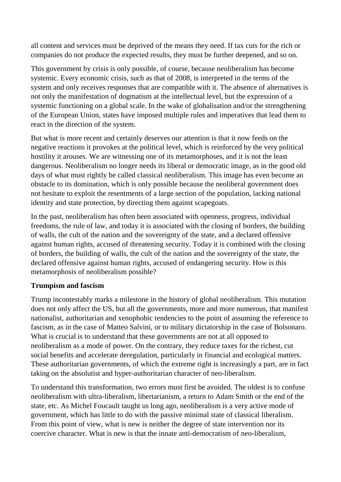all content and services must be deprived of the means they need. If tax cuts for the rich or companies do not produce the expected results, they must be further deepened, and so on.

This government by crisis is only possible, of course, because neoliberalism has become systemic. Every economic crisis, such as that of 2008, is interpreted in the terms of the system and only receives responses that are compatible with it. The absence of alternatives is not only the manifestation of dogmatism at the intellectual level, but the expression of a systemic functioning on a global scale. In the wake of globalisation and/or the strengthening of the European Union, states have imposed multiple rules and imperatives that lead them to react in the direction of the system.

But what is more recent and certainly deserves our attention is that it now feeds on the negative reactions it provokes at the political level, which is reinforced by the very political hostility it arouses. We are witnessing one of its metamorphoses, and it is not the least dangerous. Neoliberalism no longer needs its liberal or democratic image, as in the good old days of what must rightly be called classical neoliberalism. This image has even become an obstacle to its domination, which is only possible because the neoliberal government does not hesitate to exploit the resentments of a large section of the population, lacking national identity and state protection, by directing them against scapegoats.

In the past, neoliberalism has often been associated with openness, progress, individual freedoms, the rule of law, and today it is associated with the closing of borders, the building of walls, the cult of the nation and the sovereignty of the state, and a declared offensive against human rights, accused of threatening security. Today it is combined with the closing of borders, the building of walls, the cult of the nation and the sovereignty of the state, the declared offensive against human rights, accused of endangering security. How is this metamorphosis of neoliberalism possible?

# **Trumpism and fascism**

Trump incontestably marks a milestone in the history of global neoliberalism. This mutation does not only affect the US, but all the governments, more and more numerous, that manifest nationalist, authoritarian and xenophobic tendencies to the point of assuming the reference to fascism, as in the case of Matteo Salvini, or to military dictatorship in the case of Bolsonaro. What is crucial is to understand that these governments are not at all opposed to neoliberalism as a mode of power. On the contrary, they reduce taxes for the richest, cut social benefits and accelerate deregulation, particularly in financial and ecological matters. These authoritarian governments, of which the extreme right is increasingly a part, are in fact taking on the absolutist and hyper-authoritarian character of neo-liberalism.

To understand this transformation, two errors must first be avoided. The oldest is to confuse neoliberalism with ultra-liberalism, libertarianism, a return to Adam Smith or the end of the state, etc. As Michel Foucault taught us long ago, neoliberalism is a very active mode of government, which has little to do with the passive minimal state of classical liberalism. From this point of view, what is new is neither the degree of state intervention nor its coercive character. What is new is that the innate anti-democratism of neo-liberalism,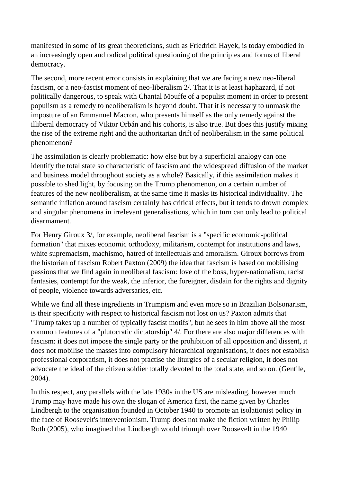manifested in some of its great theoreticians, such as Friedrich Hayek, is today embodied in an increasingly open and radical political questioning of the principles and forms of liberal democracy.

The second, more recent error consists in explaining that we are facing a new neo-liberal fascism, or a neo-fascist moment of neo-liberalism 2/. That it is at least haphazard, if not politically dangerous, to speak with Chantal Mouffe of a populist moment in order to present populism as a remedy to neoliberalism is beyond doubt. That it is necessary to unmask the imposture of an Emmanuel Macron, who presents himself as the only remedy against the illiberal democracy of Viktor Orbán and his cohorts, is also true. But does this justify mixing the rise of the extreme right and the authoritarian drift of neoliberalism in the same political phenomenon?

The assimilation is clearly problematic: how else but by a superficial analogy can one identify the total state so characteristic of fascism and the widespread diffusion of the market and business model throughout society as a whole? Basically, if this assimilation makes it possible to shed light, by focusing on the Trump phenomenon, on a certain number of features of the new neoliberalism, at the same time it masks its historical individuality. The semantic inflation around fascism certainly has critical effects, but it tends to drown complex and singular phenomena in irrelevant generalisations, which in turn can only lead to political disarmament.

For Henry Giroux 3/, for example, neoliberal fascism is a "specific economic-political formation" that mixes economic orthodoxy, militarism, contempt for institutions and laws, white supremacism, machismo, hatred of intellectuals and amoralism. Giroux borrows from the historian of fascism Robert Paxton (2009) the idea that fascism is based on mobilising passions that we find again in neoliberal fascism: love of the boss, hyper-nationalism, racist fantasies, contempt for the weak, the inferior, the foreigner, disdain for the rights and dignity of people, violence towards adversaries, etc.

While we find all these ingredients in Trumpism and even more so in Brazilian Bolsonarism, is their specificity with respect to historical fascism not lost on us? Paxton admits that "Trump takes up a number of typically fascist motifs", but he sees in him above all the most common features of a "plutocratic dictatorship" 4/. For there are also major differences with fascism: it does not impose the single party or the prohibition of all opposition and dissent, it does not mobilise the masses into compulsory hierarchical organisations, it does not establish professional corporatism, it does not practise the liturgies of a secular religion, it does not advocate the ideal of the citizen soldier totally devoted to the total state, and so on. (Gentile, 2004).

In this respect, any parallels with the late 1930s in the US are misleading, however much Trump may have made his own the slogan of America first, the name given by Charles Lindbergh to the organisation founded in October 1940 to promote an isolationist policy in the face of Roosevelt's interventionism. Trump does not make the fiction written by Philip Roth (2005), who imagined that Lindbergh would triumph over Roosevelt in the 1940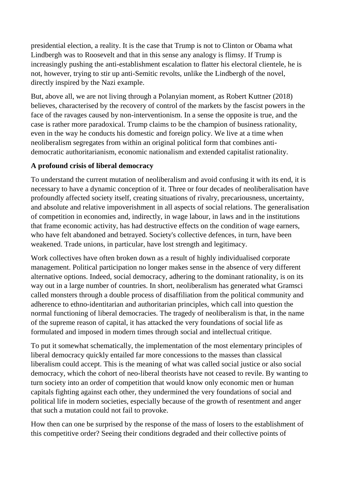presidential election, a reality. It is the case that Trump is not to Clinton or Obama what Lindbergh was to Roosevelt and that in this sense any analogy is flimsy. If Trump is increasingly pushing the anti-establishment escalation to flatter his electoral clientele, he is not, however, trying to stir up anti-Semitic revolts, unlike the Lindbergh of the novel, directly inspired by the Nazi example.

But, above all, we are not living through a Polanyian moment, as Robert Kuttner (2018) believes, characterised by the recovery of control of the markets by the fascist powers in the face of the ravages caused by non-interventionism. In a sense the opposite is true, and the case is rather more paradoxical. Trump claims to be the champion of business rationality, even in the way he conducts his domestic and foreign policy. We live at a time when neoliberalism segregates from within an original political form that combines antidemocratic authoritarianism, economic nationalism and extended capitalist rationality.

# **A profound crisis of liberal democracy**

To understand the current mutation of neoliberalism and avoid confusing it with its end, it is necessary to have a dynamic conception of it. Three or four decades of neoliberalisation have profoundly affected society itself, creating situations of rivalry, precariousness, uncertainty, and absolute and relative impoverishment in all aspects of social relations. The generalisation of competition in economies and, indirectly, in wage labour, in laws and in the institutions that frame economic activity, has had destructive effects on the condition of wage earners, who have felt abandoned and betrayed. Society's collective defences, in turn, have been weakened. Trade unions, in particular, have lost strength and legitimacy.

Work collectives have often broken down as a result of highly individualised corporate management. Political participation no longer makes sense in the absence of very different alternative options. Indeed, social democracy, adhering to the dominant rationality, is on its way out in a large number of countries. In short, neoliberalism has generated what Gramsci called monsters through a double process of disaffiliation from the political community and adherence to ethno-identitarian and authoritarian principles, which call into question the normal functioning of liberal democracies. The tragedy of neoliberalism is that, in the name of the supreme reason of capital, it has attacked the very foundations of social life as formulated and imposed in modern times through social and intellectual critique.

To put it somewhat schematically, the implementation of the most elementary principles of liberal democracy quickly entailed far more concessions to the masses than classical liberalism could accept. This is the meaning of what was called social justice or also social democracy, which the cohort of neo-liberal theorists have not ceased to revile. By wanting to turn society into an order of competition that would know only economic men or human capitals fighting against each other, they undermined the very foundations of social and political life in modern societies, especially because of the growth of resentment and anger that such a mutation could not fail to provoke.

How then can one be surprised by the response of the mass of losers to the establishment of this competitive order? Seeing their conditions degraded and their collective points of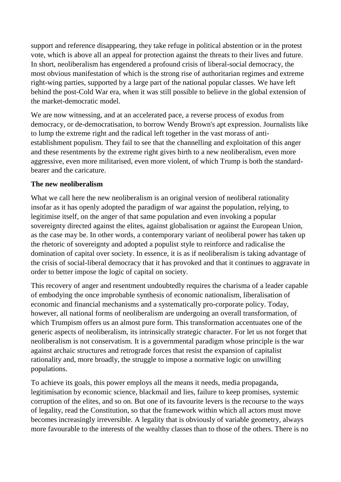support and reference disappearing, they take refuge in political abstention or in the protest vote, which is above all an appeal for protection against the threats to their lives and future. In short, neoliberalism has engendered a profound crisis of liberal-social democracy, the most obvious manifestation of which is the strong rise of authoritarian regimes and extreme right-wing parties, supported by a large part of the national popular classes. We have left behind the post-Cold War era, when it was still possible to believe in the global extension of the market-democratic model.

We are now witnessing, and at an accelerated pace, a reverse process of exodus from democracy, or de-democratisation, to borrow Wendy Brown's apt expression. Journalists like to lump the extreme right and the radical left together in the vast morass of antiestablishment populism. They fail to see that the channelling and exploitation of this anger and these resentments by the extreme right gives birth to a new neoliberalism, even more aggressive, even more militarised, even more violent, of which Trump is both the standardbearer and the caricature.

#### **The new neoliberalism**

What we call here the new neoliberalism is an original version of neoliberal rationality insofar as it has openly adopted the paradigm of war against the population, relying, to legitimise itself, on the anger of that same population and even invoking a popular sovereignty directed against the elites, against globalisation or against the European Union, as the case may be. In other words, a contemporary variant of neoliberal power has taken up the rhetoric of sovereignty and adopted a populist style to reinforce and radicalise the domination of capital over society. In essence, it is as if neoliberalism is taking advantage of the crisis of social-liberal democracy that it has provoked and that it continues to aggravate in order to better impose the logic of capital on society.

This recovery of anger and resentment undoubtedly requires the charisma of a leader capable of embodying the once improbable synthesis of economic nationalism, liberalisation of economic and financial mechanisms and a systematically pro-corporate policy. Today, however, all national forms of neoliberalism are undergoing an overall transformation, of which Trumpism offers us an almost pure form. This transformation accentuates one of the generic aspects of neoliberalism, its intrinsically strategic character. For let us not forget that neoliberalism is not conservatism. It is a governmental paradigm whose principle is the war against archaic structures and retrograde forces that resist the expansion of capitalist rationality and, more broadly, the struggle to impose a normative logic on unwilling populations.

To achieve its goals, this power employs all the means it needs, media propaganda, legitimisation by economic science, blackmail and lies, failure to keep promises, systemic corruption of the elites, and so on. But one of its favourite levers is the recourse to the ways of legality, read the Constitution, so that the framework within which all actors must move becomes increasingly irreversible. A legality that is obviously of variable geometry, always more favourable to the interests of the wealthy classes than to those of the others. There is no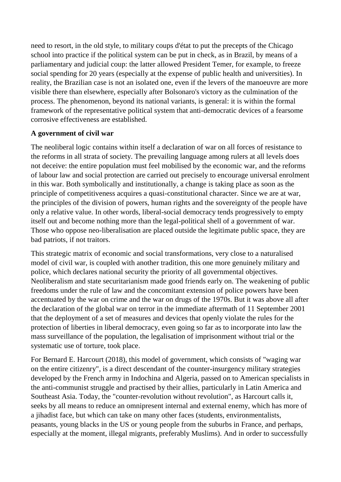need to resort, in the old style, to military coups d'état to put the precepts of the Chicago school into practice if the political system can be put in check, as in Brazil, by means of a parliamentary and judicial coup: the latter allowed President Temer, for example, to freeze social spending for 20 years (especially at the expense of public health and universities). In reality, the Brazilian case is not an isolated one, even if the levers of the manoeuvre are more visible there than elsewhere, especially after Bolsonaro's victory as the culmination of the process. The phenomenon, beyond its national variants, is general: it is within the formal framework of the representative political system that anti-democratic devices of a fearsome corrosive effectiveness are established.

## **A government of civil war**

The neoliberal logic contains within itself a declaration of war on all forces of resistance to the reforms in all strata of society. The prevailing language among rulers at all levels does not deceive: the entire population must feel mobilised by the economic war, and the reforms of labour law and social protection are carried out precisely to encourage universal enrolment in this war. Both symbolically and institutionally, a change is taking place as soon as the principle of competitiveness acquires a quasi-constitutional character. Since we are at war, the principles of the division of powers, human rights and the sovereignty of the people have only a relative value. In other words, liberal-social democracy tends progressively to empty itself out and become nothing more than the legal-political shell of a government of war. Those who oppose neo-liberalisation are placed outside the legitimate public space, they are bad patriots, if not traitors.

This strategic matrix of economic and social transformations, very close to a naturalised model of civil war, is coupled with another tradition, this one more genuinely military and police, which declares national security the priority of all governmental objectives. Neoliberalism and state securitarianism made good friends early on. The weakening of public freedoms under the rule of law and the concomitant extension of police powers have been accentuated by the war on crime and the war on drugs of the 1970s. But it was above all after the declaration of the global war on terror in the immediate aftermath of 11 September 2001 that the deployment of a set of measures and devices that openly violate the rules for the protection of liberties in liberal democracy, even going so far as to incorporate into law the mass surveillance of the population, the legalisation of imprisonment without trial or the systematic use of torture, took place.

For Bernard E. Harcourt (2018), this model of government, which consists of "waging war on the entire citizenry", is a direct descendant of the counter-insurgency military strategies developed by the French army in Indochina and Algeria, passed on to American specialists in the anti-communist struggle and practised by their allies, particularly in Latin America and Southeast Asia. Today, the "counter-revolution without revolution", as Harcourt calls it, seeks by all means to reduce an omnipresent internal and external enemy, which has more of a jihadist face, but which can take on many other faces (students, environmentalists, peasants, young blacks in the US or young people from the suburbs in France, and perhaps, especially at the moment, illegal migrants, preferably Muslims). And in order to successfully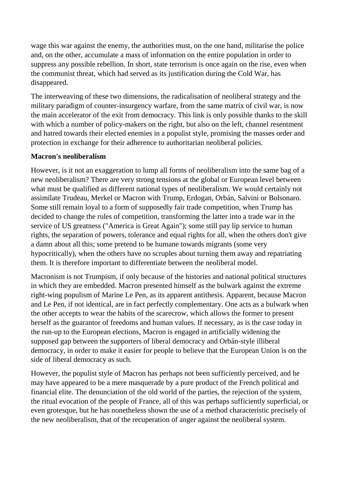wage this war against the enemy, the authorities must, on the one hand, militarise the police and, on the other, accumulate a mass of information on the entire population in order to suppress any possible rebellion. In short, state terrorism is once again on the rise, even when the communist threat, which had served as its justification during the Cold War, has disappeared.

The interweaving of these two dimensions, the radicalisation of neoliberal strategy and the military paradigm of counter-insurgency warfare, from the same matrix of civil war, is now the main accelerator of the exit from democracy. This link is only possible thanks to the skill with which a number of policy-makers on the right, but also on the left, channel resentment and hatred towards their elected enemies in a populist style, promising the masses order and protection in exchange for their adherence to authoritarian neoliberal policies.

## **Macron's neoliberalism**

However, is it not an exaggeration to lump all forms of neoliberalism into the same bag of a new neoliberalism? There are very strong tensions at the global or European level between what must be qualified as different national types of neoliberalism. We would certainly not assimilate Trudeau, Merkel or Macron with Trump, Erdogan, Orbán, Salvini or Bolsonaro. Some still remain loyal to a form of supposedly fair trade competition, when Trump has decided to change the rules of competition, transforming the latter into a trade war in the service of US greatness ("America is Great Again"); some still pay lip service to human rights, the separation of powers, tolerance and equal rights for all, when the others don't give a damn about all this; some pretend to be humane towards migrants (some very hypocritically), when the others have no scruples about turning them away and repatriating them. It is therefore important to differentiate between the neoliberal model.

Macronism is not Trumpism, if only because of the histories and national political structures in which they are embedded. Macron presented himself as the bulwark against the extreme right-wing populism of Marine Le Pen, as its apparent antithesis. Apparent, because Macron and Le Pen, if not identical, are in fact perfectly complementary. One acts as a bulwark when the other accepts to wear the habits of the scarecrow, which allows the former to present herself as the guarantor of freedoms and human values. If necessary, as is the case today in the run-up to the European elections, Macron is engaged in artificially widening the supposed gap between the supporters of liberal democracy and Orbán-style illiberal democracy, in order to make it easier for people to believe that the European Union is on the side of liberal democracy as such.

However, the populist style of Macron has perhaps not been sufficiently perceived, and he may have appeared to be a mere masquerade by a pure product of the French political and financial elite. The denunciation of the old world of the parties, the rejection of the system, the ritual evocation of the people of France, all of this was perhaps sufficiently superficial, or even grotesque, but he has nonetheless shown the use of a method characteristic precisely of the new neoliberalism, that of the recuperation of anger against the neoliberal system.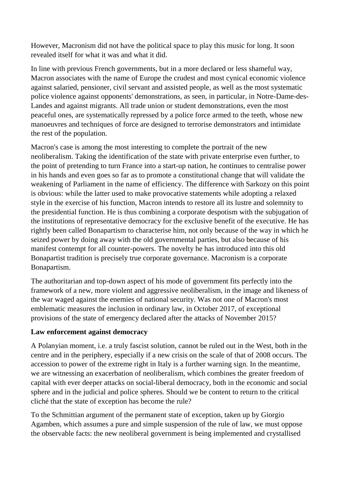However, Macronism did not have the political space to play this music for long. It soon revealed itself for what it was and what it did.

In line with previous French governments, but in a more declared or less shameful way, Macron associates with the name of Europe the crudest and most cynical economic violence against salaried, pensioner, civil servant and assisted people, as well as the most systematic police violence against opponents' demonstrations, as seen, in particular, in Notre-Dame-des-Landes and against migrants. All trade union or student demonstrations, even the most peaceful ones, are systematically repressed by a police force armed to the teeth, whose new manoeuvres and techniques of force are designed to terrorise demonstrators and intimidate the rest of the population.

Macron's case is among the most interesting to complete the portrait of the new neoliberalism. Taking the identification of the state with private enterprise even further, to the point of pretending to turn France into a start-up nation, he continues to centralise power in his hands and even goes so far as to promote a constitutional change that will validate the weakening of Parliament in the name of efficiency. The difference with Sarkozy on this point is obvious: while the latter used to make provocative statements while adopting a relaxed style in the exercise of his function, Macron intends to restore all its lustre and solemnity to the presidential function. He is thus combining a corporate despotism with the subjugation of the institutions of representative democracy for the exclusive benefit of the executive. He has rightly been called Bonapartism to characterise him, not only because of the way in which he seized power by doing away with the old governmental parties, but also because of his manifest contempt for all counter-powers. The novelty he has introduced into this old Bonapartist tradition is precisely true corporate governance. Macronism is a corporate Bonapartism.

The authoritarian and top-down aspect of his mode of government fits perfectly into the framework of a new, more violent and aggressive neoliberalism, in the image and likeness of the war waged against the enemies of national security. Was not one of Macron's most emblematic measures the inclusion in ordinary law, in October 2017, of exceptional provisions of the state of emergency declared after the attacks of November 2015?

#### **Law enforcement against democracy**

A Polanyian moment, i.e. a truly fascist solution, cannot be ruled out in the West, both in the centre and in the periphery, especially if a new crisis on the scale of that of 2008 occurs. The accession to power of the extreme right in Italy is a further warning sign. In the meantime, we are witnessing an exacerbation of neoliberalism, which combines the greater freedom of capital with ever deeper attacks on social-liberal democracy, both in the economic and social sphere and in the judicial and police spheres. Should we be content to return to the critical cliché that the state of exception has become the rule?

To the Schmittian argument of the permanent state of exception, taken up by Giorgio Agamben, which assumes a pure and simple suspension of the rule of law, we must oppose the observable facts: the new neoliberal government is being implemented and crystallised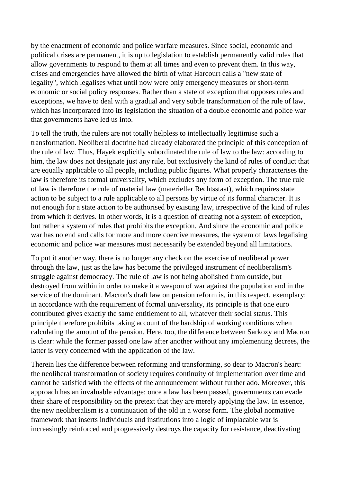by the enactment of economic and police warfare measures. Since social, economic and political crises are permanent, it is up to legislation to establish permanently valid rules that allow governments to respond to them at all times and even to prevent them. In this way, crises and emergencies have allowed the birth of what Harcourt calls a "new state of legality", which legalises what until now were only emergency measures or short-term economic or social policy responses. Rather than a state of exception that opposes rules and exceptions, we have to deal with a gradual and very subtle transformation of the rule of law, which has incorporated into its legislation the situation of a double economic and police war that governments have led us into.

To tell the truth, the rulers are not totally helpless to intellectually legitimise such a transformation. Neoliberal doctrine had already elaborated the principle of this conception of the rule of law. Thus, Hayek explicitly subordinated the rule of law to the law: according to him, the law does not designate just any rule, but exclusively the kind of rules of conduct that are equally applicable to all people, including public figures. What properly characterises the law is therefore its formal universality, which excludes any form of exception. The true rule of law is therefore the rule of material law (materieller Rechtsstaat), which requires state action to be subject to a rule applicable to all persons by virtue of its formal character. It is not enough for a state action to be authorised by existing law, irrespective of the kind of rules from which it derives. In other words, it is a question of creating not a system of exception, but rather a system of rules that prohibits the exception. And since the economic and police war has no end and calls for more and more coercive measures, the system of laws legalising economic and police war measures must necessarily be extended beyond all limitations.

To put it another way, there is no longer any check on the exercise of neoliberal power through the law, just as the law has become the privileged instrument of neoliberalism's struggle against democracy. The rule of law is not being abolished from outside, but destroyed from within in order to make it a weapon of war against the population and in the service of the dominant. Macron's draft law on pension reform is, in this respect, exemplary: in accordance with the requirement of formal universality, its principle is that one euro contributed gives exactly the same entitlement to all, whatever their social status. This principle therefore prohibits taking account of the hardship of working conditions when calculating the amount of the pension. Here, too, the difference between Sarkozy and Macron is clear: while the former passed one law after another without any implementing decrees, the latter is very concerned with the application of the law.

Therein lies the difference between reforming and transforming, so dear to Macron's heart: the neoliberal transformation of society requires continuity of implementation over time and cannot be satisfied with the effects of the announcement without further ado. Moreover, this approach has an invaluable advantage: once a law has been passed, governments can evade their share of responsibility on the pretext that they are merely applying the law. In essence, the new neoliberalism is a continuation of the old in a worse form. The global normative framework that inserts individuals and institutions into a logic of implacable war is increasingly reinforced and progressively destroys the capacity for resistance, deactivating